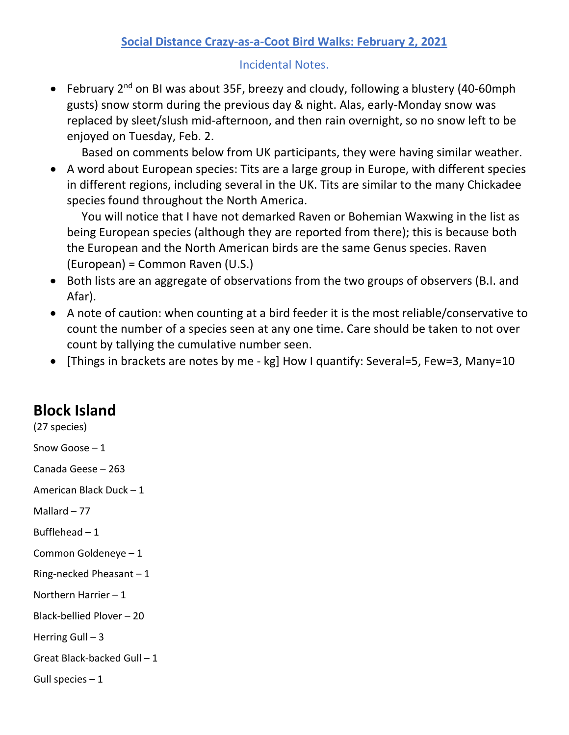## **Social Distance Crazy-as-a-Coot Bird Walks: February 2, 2021**

Incidental Notes.

• February 2<sup>nd</sup> on BI was about 35F, breezy and cloudy, following a blustery (40-60mph gusts) snow storm during the previous day & night. Alas, early-Monday snow was replaced by sleet/slush mid-afternoon, and then rain overnight, so no snow left to be enjoyed on Tuesday, Feb. 2.

Based on comments below from UK participants, they were having similar weather.

• A word about European species: Tits are a large group in Europe, with different species in different regions, including several in the UK. Tits are similar to the many Chickadee species found throughout the North America.

 You will notice that I have not demarked Raven or Bohemian Waxwing in the list as being European species (although they are reported from there); this is because both the European and the North American birds are the same Genus species. Raven (European) = Common Raven (U.S.)

- Both lists are an aggregate of observations from the two groups of observers (B.I. and Afar).
- A note of caution: when counting at a bird feeder it is the most reliable/conservative to count the number of a species seen at any one time. Care should be taken to not over count by tallying the cumulative number seen.
- [Things in brackets are notes by me kg] How I quantify: Several=5, Few=3, Many=10

## **Block Island**

(27 species) Snow Goose – 1 Canada Geese – 263 American Black Duck – 1 Mallard – 77 Bufflehead  $-1$ Common Goldeneye – 1 Ring-necked Pheasant – 1 Northern Harrier – 1 Black-bellied Plover – 20 Herring Gull  $-3$ Great Black-backed Gull – 1 Gull species  $-1$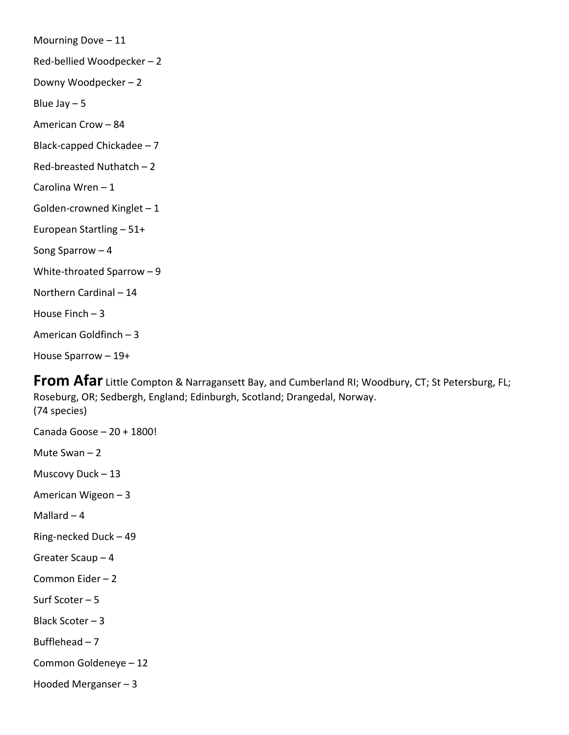Mourning Dove – 11 Red-bellied Woodpecker – 2 Downy Woodpecker – 2 Blue Jay  $-5$ American Crow – 84 Black-capped Chickadee – 7 Red-breasted Nuthatch – 2 Carolina Wren – 1 Golden-crowned Kinglet – 1 European Startling – 51+ Song Sparrow – 4 White-throated Sparrow – 9 Northern Cardinal – 14 House Finch – 3 American Goldfinch – 3 House Sparrow – 19+

**From Afar** Little Compton & Narragansett Bay, and Cumberland RI; Woodbury, CT; St Petersburg, FL; Roseburg, OR; Sedbergh, England; Edinburgh, Scotland; Drangedal, Norway. (74 species)

Canada Goose – 20 + 1800! Mute Swan – 2 Muscovy Duck – 13 American Wigeon – 3 Mallard  $-4$ Ring-necked Duck – 49 Greater Scaup – 4 Common Eider – 2 Surf Scoter – 5 Black Scoter – 3 Bufflehead – 7 Common Goldeneye – 12 Hooded Merganser – 3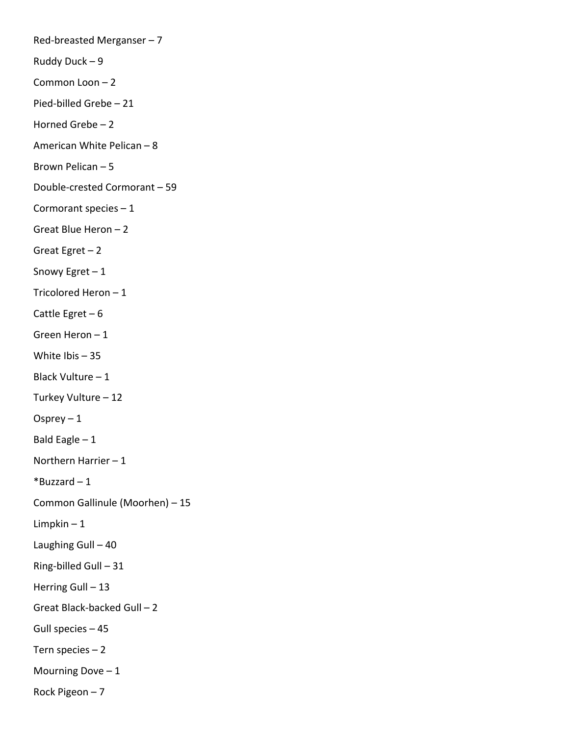Red-breasted Merganser – 7 Ruddy Duck – 9 Common Loon – 2 Pied-billed Grebe – 21 Horned Grebe – 2 American White Pelican – 8 Brown Pelican – 5 Double-crested Cormorant – 59 Cormorant species – 1 Great Blue Heron – 2 Great Egret  $-2$ Snowy Egret  $-1$ Tricolored Heron – 1 Cattle Egret – 6 Green Heron – 1 White Ibis – 35 Black Vulture – 1 Turkey Vulture – 12 Osprey  $-1$ Bald Eagle  $-1$ Northern Harrier – 1  $*$ Buzzard – 1 Common Gallinule (Moorhen) – 15 Limpkin – 1 Laughing Gull – 40 Ring-billed Gull – 31 Herring Gull - 13 Great Black-backed Gull – 2 Gull species – 45 Tern species – 2 Mourning Dove  $-1$ Rock Pigeon – 7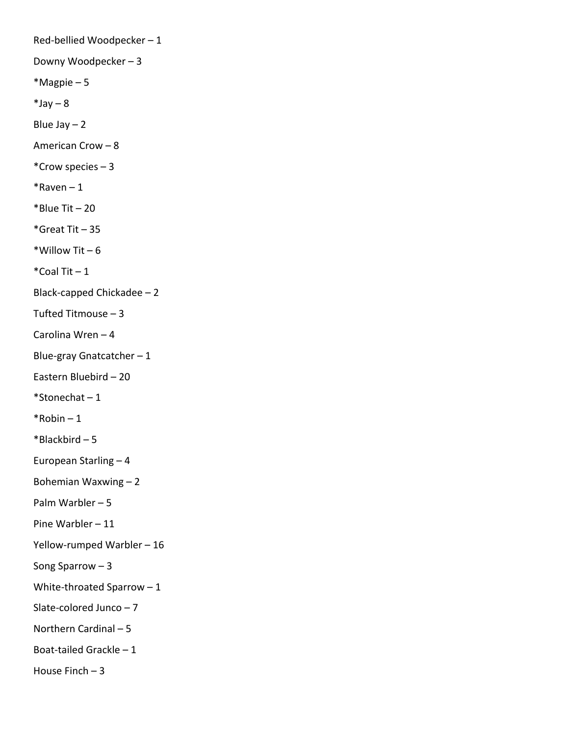Red-bellied Woodpecker – 1 Downy Woodpecker – 3 \*Magpie – 5  $*$ Jay – 8 Blue Jay  $-2$ American Crow – 8 \*Crow species – 3  $*$ Raven – 1  $*$ Blue Tit – 20 \*Great Tit – 35 \*Willow Tit  $-6$  $*$ Coal Tit  $-1$ Black-capped Chickadee – 2 Tufted Titmouse – 3 Carolina Wren – 4 Blue-gray Gnatcatcher – 1 Eastern Bluebird – 20 \*Stonechat – 1  $*$ Robin – 1 \*Blackbird – 5 European Starling – 4 Bohemian Waxwing – 2 Palm Warbler – 5 Pine Warbler – 11 Yellow-rumped Warbler – 16 Song Sparrow – 3 White-throated Sparrow – 1 Slate-colored Junco – 7 Northern Cardinal – 5 Boat-tailed Grackle – 1 House Finch  $-3$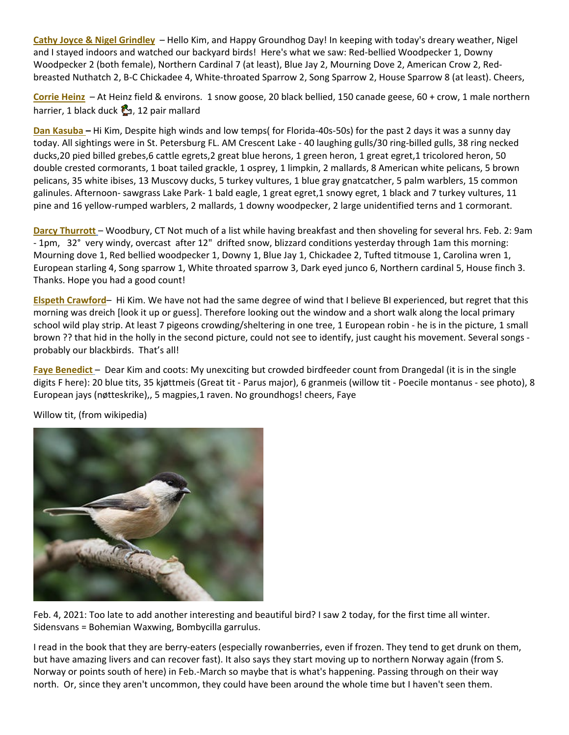**Cathy Joyce & Nigel Grindley** – Hello Kim, and Happy Groundhog Day! In keeping with today's dreary weather, Nigel and I stayed indoors and watched our backyard birds! Here's what we saw: Red-bellied Woodpecker 1, Downy Woodpecker 2 (both female), Northern Cardinal 7 (at least), Blue Jay 2, Mourning Dove 2, American Crow 2, Redbreasted Nuthatch 2, B-C Chickadee 4, White-throated Sparrow 2, Song Sparrow 2, House Sparrow 8 (at least). Cheers,

**Corrie Heinz** – At Heinz field & environs. 1 snow goose, 20 black bellied, 150 canade geese, 60 + crow, 1 male northern harrier, 1 black duck  $\mathbb{C}_2$ , 12 pair mallard

**Dan Kasuba –** Hi Kim, Despite high winds and low temps( for Florida-40s-50s) for the past 2 days it was a sunny day today. All sightings were in St. Petersburg FL. AM Crescent Lake - 40 laughing gulls/30 ring-billed gulls, 38 ring necked ducks,20 pied billed grebes,6 cattle egrets,2 great blue herons, 1 green heron, 1 great egret,1 tricolored heron, 50 double crested cormorants, 1 boat tailed grackle, 1 osprey, 1 limpkin, 2 mallards, 8 American white pelicans, 5 brown pelicans, 35 white ibises, 13 Muscovy ducks, 5 turkey vultures, 1 blue gray gnatcatcher, 5 palm warblers, 15 common galinules. Afternoon- sawgrass Lake Park- 1 bald eagle, 1 great egret,1 snowy egret, 1 black and 7 turkey vultures, 11 pine and 16 yellow-rumped warblers, 2 mallards, 1 downy woodpecker, 2 large unidentified terns and 1 cormorant.

**Darcy Thurrott** – Woodbury, CT Not much of a list while having breakfast and then shoveling for several hrs. Feb. 2: 9am - 1pm, 32° very windy, overcast after 12" drifted snow, blizzard conditions yesterday through 1am this morning: Mourning dove 1, Red bellied woodpecker 1, Downy 1, Blue Jay 1, Chickadee 2, Tufted titmouse 1, Carolina wren 1, European starling 4, Song sparrow 1, White throated sparrow 3, Dark eyed junco 6, Northern cardinal 5, House finch 3. Thanks. Hope you had a good count!

**Elspeth Crawford**– Hi Kim. We have not had the same degree of wind that I believe BI experienced, but regret that this morning was dreich [look it up or guess]. Therefore looking out the window and a short walk along the local primary school wild play strip. At least 7 pigeons crowding/sheltering in one tree, 1 European robin - he is in the picture, 1 small brown ?? that hid in the holly in the second picture, could not see to identify, just caught his movement. Several songs probably our blackbirds. That's all!

**Faye Benedict** – Dear Kim and coots: My unexciting but crowded birdfeeder count from Drangedal (it is in the single digits F here): 20 blue tits, 35 kjøttmeis (Great tit - Parus major), 6 granmeis (willow tit - Poecile montanus - see photo), 8 European jays (nøtteskrike),, 5 magpies,1 raven. No groundhogs! cheers, Faye



Willow tit, (from wikipedia)

Feb. 4, 2021: Too late to add another interesting and beautiful bird? I saw 2 today, for the first time all winter. Sidensvans = Bohemian Waxwing, Bombycilla garrulus.

I read in the book that they are berry-eaters (especially rowanberries, even if frozen. They tend to get drunk on them, but have amazing livers and can recover fast). It also says they start moving up to northern Norway again (from S. Norway or points south of here) in Feb.-March so maybe that is what's happening. Passing through on their way north. Or, since they aren't uncommon, they could have been around the whole time but I haven't seen them.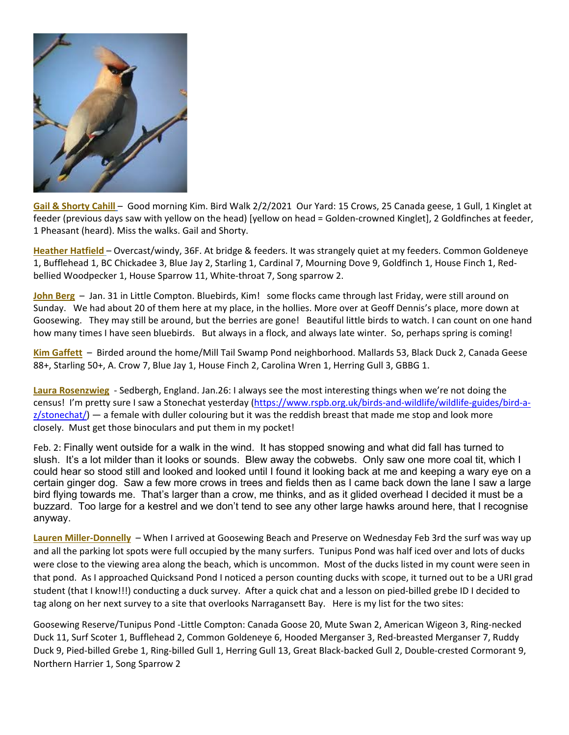

Gail & Shorty Cahill – Good morning Kim. Bird Walk 2/2/2021 Our Yard: 15 Crows, 25 Canada geese, 1 Gull, 1 Kinglet at feeder (previous days saw with yellow on the head) [yellow on head = Golden-crowned Kinglet], 2 Goldfinches at feeder, 1 Pheasant (heard). Miss the walks. Gail and Shorty.

**Heather Hatfield** – Overcast/windy, 36F. At bridge & feeders. It was strangely quiet at my feeders. Common Goldeneye 1, Bufflehead 1, BC Chickadee 3, Blue Jay 2, Starling 1, Cardinal 7, Mourning Dove 9, Goldfinch 1, House Finch 1, Redbellied Woodpecker 1, House Sparrow 11, White-throat 7, Song sparrow 2.

**John Berg** – Jan. 31 in Little Compton. Bluebirds, Kim! some flocks came through last Friday, were still around on Sunday. We had about 20 of them here at my place, in the hollies. More over at Geoff Dennis's place, more down at Goosewing. They may still be around, but the berries are gone! Beautiful little birds to watch. I can count on one hand how many times I have seen bluebirds. But always in a flock, and always late winter. So, perhaps spring is coming!

**Kim Gaffett** – Birded around the home/Mill Tail Swamp Pond neighborhood. Mallards 53, Black Duck 2, Canada Geese 88+, Starling 50+, A. Crow 7, Blue Jay 1, House Finch 2, Carolina Wren 1, Herring Gull 3, GBBG 1.

**Laura Rosenzwieg** - Sedbergh, England. Jan.26: I always see the most interesting things when we're not doing the census! I'm pretty sure I saw a Stonechat yesterday [\(https://www.rspb.org.uk/birds-and-wildlife/wildlife-guides/bird-a](https://protect-us.mimecast.com/s/9RgBCo2nmYIqDmPrU1L9lb?domain=rspb.org.uk) $z$ /stonechat/ $)$  — a female with duller colouring but it was the reddish breast that made me stop and look more closely. Must get those binoculars and put them in my pocket!

Feb. 2: Finally went outside for a walk in the wind. It has stopped snowing and what did fall has turned to slush. It's a lot milder than it looks or sounds. Blew away the cobwebs. Only saw one more coal tit, which I could hear so stood still and looked and looked until I found it looking back at me and keeping a wary eye on a certain ginger dog. Saw a few more crows in trees and fields then as I came back down the lane I saw a large bird flying towards me. That's larger than a crow, me thinks, and as it glided overhead I decided it must be a buzzard. Too large for a kestrel and we don't tend to see any other large hawks around here, that I recognise anyway.

**Lauren Miller-Donnelly** – When I arrived at Goosewing Beach and Preserve on Wednesday Feb 3rd the surf was way up and all the parking lot spots were full occupied by the many surfers. Tunipus Pond was half iced over and lots of ducks were close to the viewing area along the beach, which is uncommon. Most of the ducks listed in my count were seen in that pond. As I approached Quicksand Pond I noticed a person counting ducks with scope, it turned out to be a URI grad student (that I know!!!) conducting a duck survey. After a quick chat and a lesson on pied-billed grebe ID I decided to tag along on her next survey to a site that overlooks Narragansett Bay. Here is my list for the two sites:

Goosewing Reserve/Tunipus Pond -Little Compton: Canada Goose 20, Mute Swan 2, American Wigeon 3, Ring-necked Duck 11, Surf Scoter 1, Bufflehead 2, Common Goldeneye 6, Hooded Merganser 3, Red-breasted Merganser 7, Ruddy Duck 9, Pied-billed Grebe 1, Ring-billed Gull 1, Herring Gull 13, Great Black-backed Gull 2, Double-crested Cormorant 9, Northern Harrier 1, Song Sparrow 2